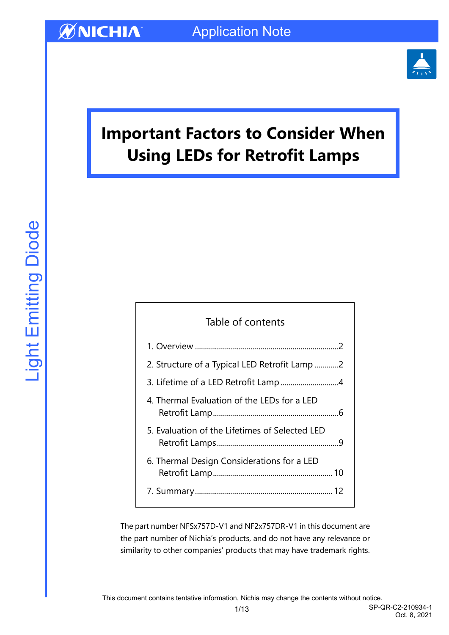

# **Important Factors to Consider When Using LEDs for Retrofit Lamps**

## Table of contents

| 2. Structure of a Typical LED Retrofit Lamp 2  |
|------------------------------------------------|
|                                                |
| 4. Thermal Evaluation of the LEDs for a LED    |
| 5. Evaluation of the Lifetimes of Selected LED |
| 6. Thermal Design Considerations for a LED     |
|                                                |

The part number NFSx757D-V1 and NF2x757DR-V1 in this document are the part number of Nichia's products, and do not have any relevance or similarity to other companies' products that may have trademark rights.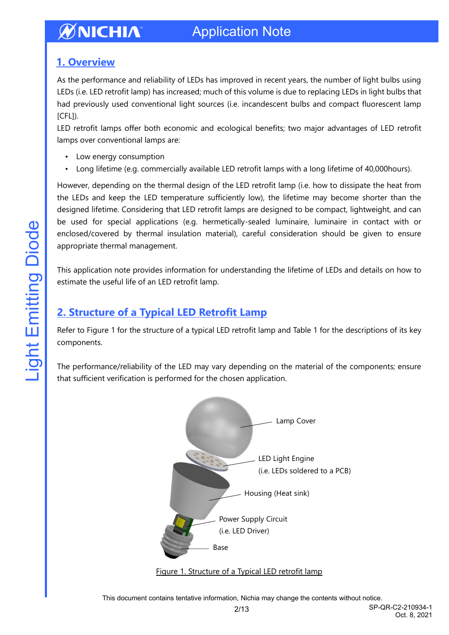### <span id="page-1-0"></span>**1. Overview**

As the performance and reliability of LEDs has improved in recent years, the number of light bulbs using LEDs (i.e. LED retrofit lamp) has increased; much of this volume is due to replacing LEDs in light bulbs that had previously used conventional light sources (i.e. incandescent bulbs and compact fluorescent lamp [CFL]).

LED retrofit lamps offer both economic and ecological benefits; two major advantages of LED retrofit lamps over conventional lamps are:

- Low energy consumption
- Long lifetime (e.g. commercially available LED retrofit lamps with a long lifetime of 40,000hours).

However, depending on the thermal design of the LED retrofit lamp (i.e. how to dissipate the heat from the LEDs and keep the LED temperature sufficiently low), the lifetime may become shorter than the designed lifetime. Considering that LED retrofit lamps are designed to be compact, lightweight, and can be used for special applications (e.g. hermetically-sealed luminaire, luminaire in contact with or enclosed/covered by thermal insulation material), careful consideration should be given to ensure appropriate thermal management.

This application note provides information for understanding the lifetime of LEDs and details on how to estimate the useful life of an LED retrofit lamp.

### <span id="page-1-1"></span>**2. Structure of a Typical LED Retrofit Lamp**

Refer to Figure 1 for the structure of a typical LED retrofit lamp and Table 1 for the descriptions of its key components.

The performance/reliability of the LED may vary depending on the material of the components; ensure that sufficient verification is performed for the chosen application.





This document contains tentative information, Nichia may change the contents without notice.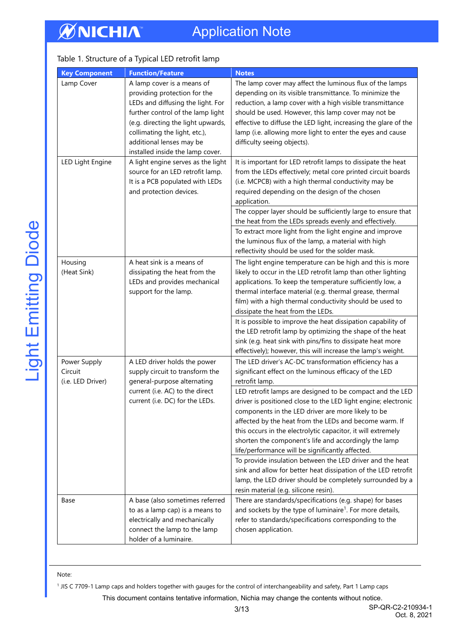# Application Note

### Table 1. Structure of a Typical LED retrofit lamp

| <b>Key Component</b>                         | <b>Function/Feature</b>                                                                                                                                                                                                                                                     | <b>Notes</b>                                                                                                                                                                                                                                                                                                                                                                                                                                                                                                                                                                                                                                                                                                                                                                                                                                                        |
|----------------------------------------------|-----------------------------------------------------------------------------------------------------------------------------------------------------------------------------------------------------------------------------------------------------------------------------|---------------------------------------------------------------------------------------------------------------------------------------------------------------------------------------------------------------------------------------------------------------------------------------------------------------------------------------------------------------------------------------------------------------------------------------------------------------------------------------------------------------------------------------------------------------------------------------------------------------------------------------------------------------------------------------------------------------------------------------------------------------------------------------------------------------------------------------------------------------------|
| Lamp Cover                                   | A lamp cover is a means of<br>providing protection for the<br>LEDs and diffusing the light. For<br>further control of the lamp light<br>(e.g. directing the light upwards,<br>collimating the light, etc.),<br>additional lenses may be<br>installed inside the lamp cover. | The lamp cover may affect the luminous flux of the lamps<br>depending on its visible transmittance. To minimize the<br>reduction, a lamp cover with a high visible transmittance<br>should be used. However, this lamp cover may not be<br>effective to diffuse the LED light, increasing the glare of the<br>lamp (i.e. allowing more light to enter the eyes and cause<br>difficulty seeing objects).                                                                                                                                                                                                                                                                                                                                                                                                                                                             |
| LED Light Engine                             | A light engine serves as the light<br>source for an LED retrofit lamp.<br>It is a PCB populated with LEDs<br>and protection devices.                                                                                                                                        | It is important for LED retrofit lamps to dissipate the heat<br>from the LEDs effectively; metal core printed circuit boards<br>(i.e. MCPCB) with a high thermal conductivity may be<br>required depending on the design of the chosen<br>application.<br>The copper layer should be sufficiently large to ensure that<br>the heat from the LEDs spreads evenly and effectively.<br>To extract more light from the light engine and improve<br>the luminous flux of the lamp, a material with high<br>reflectivity should be used for the solder mask.                                                                                                                                                                                                                                                                                                              |
| Housing<br>(Heat Sink)                       | A heat sink is a means of<br>dissipating the heat from the<br>LEDs and provides mechanical<br>support for the lamp.                                                                                                                                                         | The light engine temperature can be high and this is more<br>likely to occur in the LED retrofit lamp than other lighting<br>applications. To keep the temperature sufficiently low, a<br>thermal interface material (e.g. thermal grease, thermal<br>film) with a high thermal conductivity should be used to<br>dissipate the heat from the LEDs.<br>It is possible to improve the heat dissipation capability of<br>the LED retrofit lamp by optimizing the shape of the heat<br>sink (e.g. heat sink with pins/fins to dissipate heat more                                                                                                                                                                                                                                                                                                                      |
| Power Supply<br>Circuit<br>(i.e. LED Driver) | A LED driver holds the power<br>supply circuit to transform the<br>general-purpose alternating<br>current (i.e. AC) to the direct<br>current (i.e. DC) for the LEDs.                                                                                                        | effectively); however, this will increase the lamp's weight.<br>The LED driver's AC-DC transformation efficiency has a<br>significant effect on the luminous efficacy of the LED<br>retrofit lamp.<br>LED retrofit lamps are designed to be compact and the LED<br>driver is positioned close to the LED light engine; electronic<br>components in the LED driver are more likely to be<br>affected by the heat from the LEDs and become warm. If<br>this occurs in the electrolytic capacitor, it will extremely<br>shorten the component's life and accordingly the lamp<br>life/performance will be significantly affected.<br>To provide insulation between the LED driver and the heat<br>sink and allow for better heat dissipation of the LED retrofit<br>lamp, the LED driver should be completely surrounded by a<br>resin material (e.g. silicone resin). |
| Base                                         | A base (also sometimes referred<br>to as a lamp cap) is a means to<br>electrically and mechanically<br>connect the lamp to the lamp<br>holder of a luminaire.                                                                                                               | There are standards/specifications (e.g. shape) for bases<br>and sockets by the type of luminaire <sup>1</sup> . For more details,<br>refer to standards/specifications corresponding to the<br>chosen application.                                                                                                                                                                                                                                                                                                                                                                                                                                                                                                                                                                                                                                                 |

#### Note:

1 JIS C 7709-1 Lamp caps and holders together with gauges for the control of interchangeability and safety, Part 1 Lamp caps

This document contains tentative information, Nichia may change the contents without notice.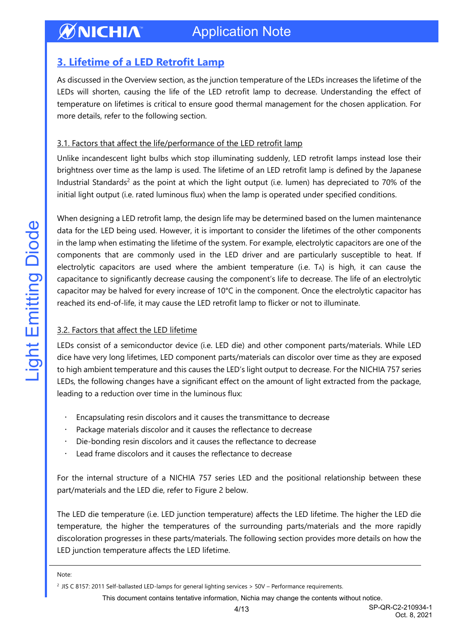## <span id="page-3-0"></span>**3. Lifetime of a LED Retrofit Lamp**

As discussed in the Overview section, as the junction temperature of the LEDs increases the lifetime of the LEDs will shorten, causing the life of the LED retrofit lamp to decrease. Understanding the effect of temperature on lifetimes is critical to ensure good thermal management for the chosen application. For more details, refer to the following section.

#### 3.1. Factors that affect the life/performance of the LED retrofit lamp

Unlike incandescent light bulbs which stop illuminating suddenly, LED retrofit lamps instead lose their brightness over time as the lamp is used. The lifetime of an LED retrofit lamp is defined by the Japanese Industrial Standards<sup>2</sup> as the point at which the light output (i.e. lumen) has depreciated to 70% of the initial light output (i.e. rated luminous flux) when the lamp is operated under specified conditions.

When designing a LED retrofit lamp, the design life may be determined based on the lumen maintenance data for the LED being used. However, it is important to consider the lifetimes of the other components in the lamp when estimating the lifetime of the system. For example, electrolytic capacitors are one of the components that are commonly used in the LED driver and are particularly susceptible to heat. If electrolytic capacitors are used where the ambient temperature (i.e. TA) is high, it can cause the capacitance to significantly decrease causing the component's life to decrease. The life of an electrolytic capacitor may be halved for every increase of 10°C in the component. Once the electrolytic capacitor has reached its end-of-life, it may cause the LED retrofit lamp to flicker or not to illuminate.

#### 3.2. Factors that affect the LED lifetime

LEDs consist of a semiconductor device (i.e. LED die) and other component parts/materials. While LED dice have very long lifetimes, LED component parts/materials can discolor over time as they are exposed to high ambient temperature and this causes the LED's light output to decrease. For the NICHIA 757 series LEDs, the following changes have a significant effect on the amount of light extracted from the package, leading to a reduction over time in the luminous flux:

- Encapsulating resin discolors and it causes the transmittance to decrease
- Package materials discolor and it causes the reflectance to decrease
- Die-bonding resin discolors and it causes the reflectance to decrease
- Lead frame discolors and it causes the reflectance to decrease

For the internal structure of a NICHIA 757 series LED and the positional relationship between these part/materials and the LED die, refer to Figure 2 below.

The LED die temperature (i.e. LED junction temperature) affects the LED lifetime. The higher the LED die temperature, the higher the temperatures of the surrounding parts/materials and the more rapidly discoloration progresses in these parts/materials. The following section provides more details on how the LED junction temperature affects the LED lifetime.

Note:

This document contains tentative information, Nichia may change the contents without notice.

<sup>2</sup> JIS C 8157: 2011 Self-ballasted LED-lamps for general lighting services > 50V – Performance requirements.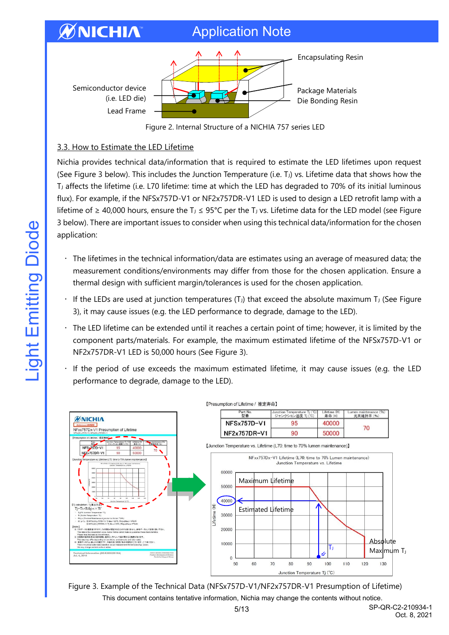# Application Note



Figure 2. Internal Structure of a NICHIA 757 series LED

#### 3.3. How to Estimate the LED Lifetime

**ØNICHIA** 

Nichia provides technical data/information that is required to estimate the LED lifetimes upon request (See Figure 3 below). This includes the Junction Temperature (i.e.  $T_J$ ) vs. Lifetime data that shows how the T<sup>J</sup> affects the lifetime (i.e. L70 lifetime: time at which the LED has degraded to 70% of its initial luminous flux). For example, if the NFSx757D-V1 or NF2x757DR-V1 LED is used to design a LED retrofit lamp with a lifetime of ≥ 40,000 hours, ensure the T<sub>J</sub> ≤ 95°C per the T<sub>J</sub> vs. Lifetime data for the LED model (see Figure 3 below). There are important issues to consider when using this technical data/information for the chosen application:

- The lifetimes in the technical information/data are estimates using an average of measured data; the measurement conditions/environments may differ from those for the chosen application. Ensure a thermal design with sufficient margin/tolerances is used for the chosen application.
- If the LEDs are used at junction temperatures (T<sub>J</sub>) that exceed the absolute maximum T<sub>J</sub> (See Figure 3), it may cause issues (e.g. the LED performance to degrade, damage to the LED).
- The LED lifetime can be extended until it reaches a certain point of time; however, it is limited by the component parts/materials. For example, the maximum estimated lifetime of the NFSx757D-V1 or NF2x757DR-V1 LED is 50,000 hours (See Figure 3).
- If the period of use exceeds the maximum estimated lifetime, it may cause issues (e.g. the LED performance to degrade, damage to the LED).



This document contains tentative information, Nichia may change the contents without notice. Figure 3. Example of the Technical Data (NFSx757D-V1/NF2x757DR-V1 Presumption of Lifetime)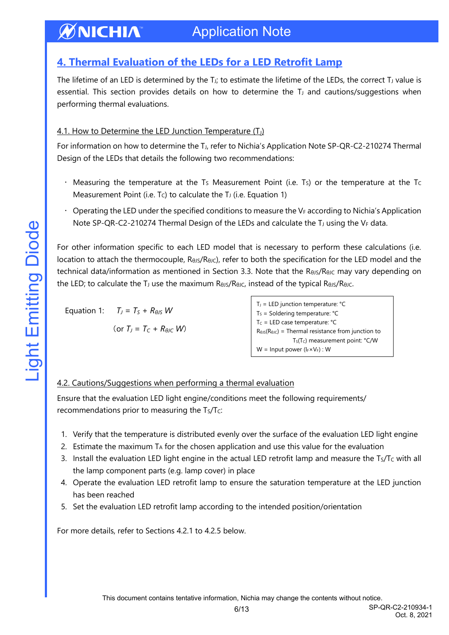#### ØNICHIA Application Note

# <span id="page-5-0"></span>**4. Thermal Evaluation of the LEDs for a LED Retrofit Lamp**

The lifetime of an LED is determined by the  $T_{J}$ ; to estimate the lifetime of the LEDs, the correct  $T_{J}$  value is essential. This section provides details on how to determine the  $T<sub>J</sub>$  and cautions/suggestions when performing thermal evaluations.

#### 4.1. How to Determine the LED Junction Temperature  $(I<sub>1</sub>)$

For information on how to determine the TJ, refer to Nichia's Application Note SP-QR-C2-210274 Thermal Design of the LEDs that details the following two recommendations:

- Measuring the temperature at the T<sub>S</sub> Measurement Point (i.e. T<sub>S</sub>) or the temperature at the T<sub>C</sub> Measurement Point (i.e.  $T_c$ ) to calculate the  $T<sub>J</sub>$  (i.e. Equation 1)
- $\cdot$  Operating the LED under the specified conditions to measure the V<sub>F</sub> according to Nichia's Application Note SP-QR-C2-210274 Thermal Design of the LEDs and calculate the T<sub>J</sub> using the VF data.

For other information specific to each LED model that is necessary to perform these calculations (i.e. location to attach the thermocouple,  $R_{\theta J}R_{\theta JC}$ , refer to both the specification for the LED model and the technical data/information as mentioned in Section 3.3. Note that the RθJs/RθJc may vary depending on the LED; to calculate the T<sub>J</sub> use the maximum RθJS/RθJC, instead of the typical RθJS/RθJC.

```
Equation 1: T_J = T_S + R_{\theta J S} W
```
(or 
$$
T_J = T_C + R_{\theta J C} W
$$
)

```
T_J = LED junction temperature: °CT<sub>S</sub> = Soldering temperature: °CT_c = LED case temperature: °CR_{\theta\text{JS}}(R_{\theta\text{JC}}) = Thermal resistance from junction to
                  T<sub>S</sub>(T<sub>c</sub>) measurement point: °C/W
W = Input power (I_F \times V_F): W
```
### 4.2. Cautions/Suggestions when performing a thermal evaluation

Ensure that the evaluation LED light engine/conditions meet the following requirements/ recommendations prior to measuring the Ts/Tc:

- 1. Verify that the temperature is distributed evenly over the surface of the evaluation LED light engine
- 2. Estimate the maximum  $TA$  for the chosen application and use this value for the evaluation
- 3. Install the evaluation LED light engine in the actual LED retrofit lamp and measure the  $T<sub>S</sub>/T<sub>C</sub>$  with all the lamp component parts (e.g. lamp cover) in place
- 4. Operate the evaluation LED retrofit lamp to ensure the saturation temperature at the LED junction has been reached
- 5. Set the evaluation LED retrofit lamp according to the intended position/orientation

For more details, refer to Sections 4.2.1 to 4.2.5 below.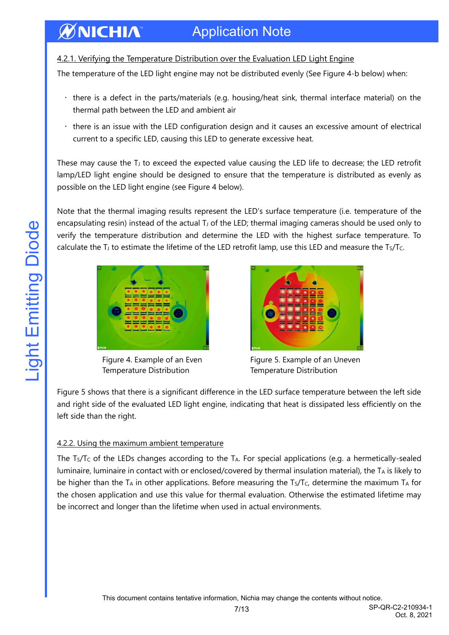## Application Note

#### 4.2.1. Verifying the Temperature Distribution over the Evaluation LED Light Engine

The temperature of the LED light engine may not be distributed evenly (See Figure 4-b below) when:

- there is a defect in the parts/materials (e.g. housing/heat sink, thermal interface material) on the thermal path between the LED and ambient air
- there is an issue with the LED configuration design and it causes an excessive amount of electrical current to a specific LED, causing this LED to generate excessive heat.

These may cause the  $T_J$  to exceed the expected value causing the LED life to decrease; the LED retrofit lamp/LED light engine should be designed to ensure that the temperature is distributed as evenly as possible on the LED light engine (see Figure 4 below).

Note that the thermal imaging results represent the LED's surface temperature (i.e. temperature of the encapsulating resin) instead of the actual T<sub>J</sub> of the LED; thermal imaging cameras should be used only to verify the temperature distribution and determine the LED with the highest surface temperature. To calculate the  $T_J$  to estimate the lifetime of the LED retrofit lamp, use this LED and measure the Ts/Tc.



**ØNICHIA** 

Figure 4. Example of an Even Temperature Distribution



Figure 5. Example of an Uneven Temperature Distribution

Oct. 8, 2021

Figure 5 shows that there is a significant difference in the LED surface temperature between the left side and right side of the evaluated LED light engine, indicating that heat is dissipated less efficiently on the left side than the right.

#### 4.2.2. Using the maximum ambient temperature

The  $T_S/T_C$  of the LEDs changes according to the  $T_A$ . For special applications (e.g. a hermetically-sealed luminaire, luminaire in contact with or enclosed/covered by thermal insulation material), the  $T_A$  is likely to be higher than the T<sub>A</sub> in other applications. Before measuring the T<sub>S</sub>/T<sub>C</sub>, determine the maximum T<sub>A</sub> for the chosen application and use this value for thermal evaluation. Otherwise the estimated lifetime may be incorrect and longer than the lifetime when used in actual environments.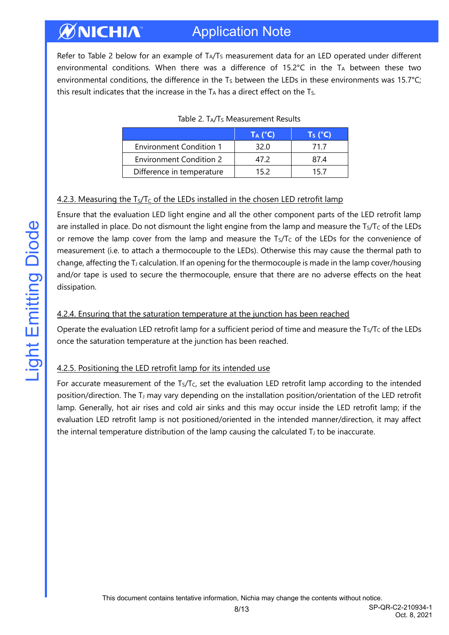#### ØNICHIA Application Note

Refer to Table 2 below for an example of T<sub>A</sub>/T<sub>S</sub> measurement data for an LED operated under different environmental conditions. When there was a difference of  $15.2^{\circ}C$  in the TA between these two environmental conditions, the difference in the  $T<sub>S</sub>$  between the LEDs in these environments was 15.7°C; this result indicates that the increase in the  $TA$  has a direct effect on the  $Ts$ .

|                                | $T_A$ (°C) | Ts (°C) |
|--------------------------------|------------|---------|
| <b>Environment Condition 1</b> | 32 O       | 71 7    |
| <b>Environment Condition 2</b> | 47 Z       | 87.4    |
| Difference in temperature      | 15 2       | 15.7    |

|  | Table 2. TA/Ts Measurement Results |  |
|--|------------------------------------|--|
|  |                                    |  |

#### 4.2.3. Measuring the  $T_S/T_C$  of the LEDs installed in the chosen LED retrofit lamp

Ensure that the evaluation LED light engine and all the other component parts of the LED retrofit lamp are installed in place. Do not dismount the light engine from the lamp and measure the Ts/Tc of the LEDs or remove the lamp cover from the lamp and measure the Ts/Tc of the LEDs for the convenience of measurement (i.e. to attach a thermocouple to the LEDs). Otherwise this may cause the thermal path to change, affecting the T<sub>J</sub> calculation. If an opening for the thermocouple is made in the lamp cover/housing and/or tape is used to secure the thermocouple, ensure that there are no adverse effects on the heat dissipation.

#### 4.2.4. Ensuring that the saturation temperature at the junction has been reached

Operate the evaluation LED retrofit lamp for a sufficient period of time and measure the Ts/Tc of the LEDs once the saturation temperature at the junction has been reached.

#### 4.2.5. Positioning the LED retrofit lamp for its intended use

For accurate measurement of the Ts/Tc, set the evaluation LED retrofit lamp according to the intended position/direction. The T<sup>J</sup> may vary depending on the installation position/orientation of the LED retrofit lamp. Generally, hot air rises and cold air sinks and this may occur inside the LED retrofit lamp; if the evaluation LED retrofit lamp is not positioned/oriented in the intended manner/direction, it may affect the internal temperature distribution of the lamp causing the calculated  $T_J$  to be inaccurate.

8/13 SP-QR-C2-210934-1 Oct. 8, 2021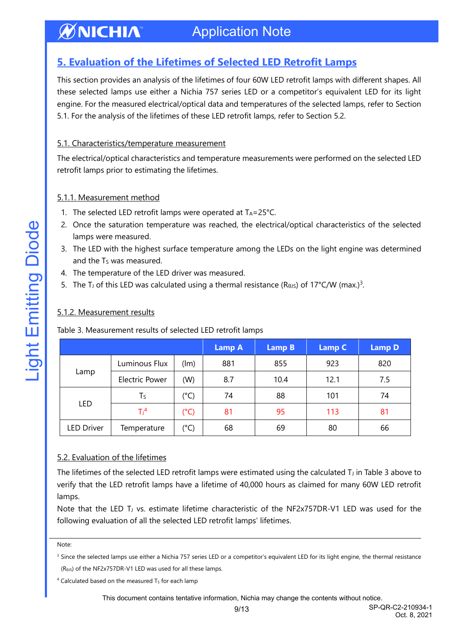#### **ØNICHIA** Application Note

## <span id="page-8-0"></span>**5. Evaluation of the Lifetimes of Selected LED Retrofit Lamps**

This section provides an analysis of the lifetimes of four 60W LED retrofit lamps with different shapes. All these selected lamps use either a Nichia 757 series LED or a competitor's equivalent LED for its light engine. For the measured electrical/optical data and temperatures of the selected lamps, refer to Section 5.1. For the analysis of the lifetimes of these LED retrofit lamps, refer to Section 5.2.

#### 5.1. Characteristics/temperature measurement

The electrical/optical characteristics and temperature measurements were performed on the selected LED retrofit lamps prior to estimating the lifetimes.

#### 5.1.1. Measurement method

- 1. The selected LED retrofit lamps were operated at  $Ta=25^{\circ}C$ .
- 2. Once the saturation temperature was reached, the electrical/optical characteristics of the selected lamps were measured.
- 3. The LED with the highest surface temperature among the LEDs on the light engine was determined and the T<sub>s</sub> was measured.
- 4. The temperature of the LED driver was measured.
- 5. The TJ of this LED was calculated using a thermal resistance (ReJs) of 17°C/W (max.)<sup>3</sup>.

#### 5.1.2. Measurement results

|                   |                       |               | <b>Lamp A</b> | <b>Lamp B</b> | <b>Lamp C</b> | <b>Lamp D</b> |  |
|-------------------|-----------------------|---------------|---------------|---------------|---------------|---------------|--|
| Lamp              | Luminous Flux         | (lm)          | 881           | 855           | 923           | 820           |  |
|                   | <b>Electric Power</b> | (W)           | 8.7           | 10.4          | 12.1          | 7.5           |  |
| LED               | $T_S$                 | (°C)          | 74            | 88            | 101           | 74            |  |
|                   | T <sup>4</sup>        | $(^{\circ}C)$ | 81            | 95            | 113           | 81            |  |
| <b>LED Driver</b> | Temperature           | $C^{\circ}$   | 68            | 69            | 80            | 66            |  |

Table 3. Measurement results of selected LED retrofit lamps

#### 5.2. Evaluation of the lifetimes

The lifetimes of the selected LED retrofit lamps were estimated using the calculated T $_J$  in Table 3 above to verify that the LED retrofit lamps have a lifetime of 40,000 hours as claimed for many 60W LED retrofit lamps.

Note that the LED T<sub>J</sub> vs. estimate lifetime characteristic of the NF2x757DR-V1 LED was used for the following evaluation of all the selected LED retrofit lamps' lifetimes.

Note:

<sup>3</sup> Since the selected lamps use either a Nichia 757 series LED or a competitor's equivalent LED for its light engine, the thermal resistance (RθJS) of the NF2x757DR-V1 LED was used for all these lamps.

This document contains tentative information, Nichia may change the contents without notice.

Oct. 8, 2021

 $4$  Calculated based on the measured T<sub>s</sub> for each lamp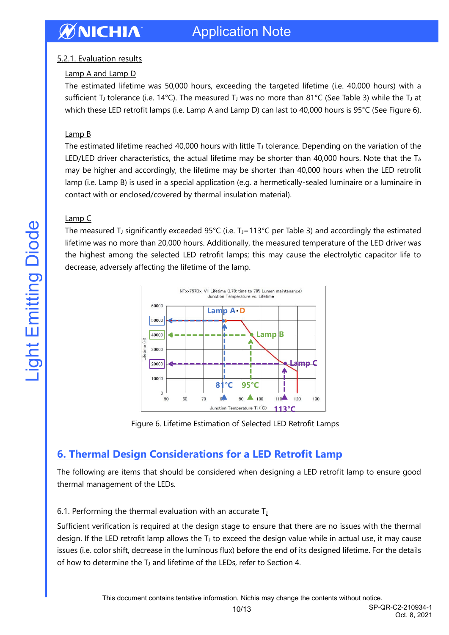# WNICHIA

#### 5.2.1. Evaluation results

#### Lamp A and Lamp D

The estimated lifetime was 50,000 hours, exceeding the targeted lifetime (i.e. 40,000 hours) with a sufficient T<sub>J</sub> tolerance (i.e. 14°C). The measured T<sub>J</sub> was no more than 81°C (See Table 3) while the T<sub>J</sub> at which these LED retrofit lamps (i.e. Lamp A and Lamp D) can last to 40,000 hours is 95°C (See Figure 6).

#### Lamp B

The estimated lifetime reached 40,000 hours with little  $T_J$  tolerance. Depending on the variation of the LED/LED driver characteristics, the actual lifetime may be shorter than 40,000 hours. Note that the TA may be higher and accordingly, the lifetime may be shorter than 40,000 hours when the LED retrofit lamp (i.e. Lamp B) is used in a special application (e.g. a hermetically-sealed luminaire or a luminaire in contact with or enclosed/covered by thermal insulation material).

#### Lamp C

The measured T<sub>J</sub> significantly exceeded 95°C (i.e. T<sub>J</sub>=113°C per Table 3) and accordingly the estimated lifetime was no more than 20,000 hours. Additionally, the measured temperature of the LED driver was the highest among the selected LED retrofit lamps; this may cause the electrolytic capacitor life to decrease, adversely affecting the lifetime of the lamp.



Figure 6. Lifetime Estimation of Selected LED Retrofit Lamps

## <span id="page-9-0"></span>**6. Thermal Design Considerations for a LED Retrofit Lamp**

The following are items that should be considered when designing a LED retrofit lamp to ensure good thermal management of the LEDs.

#### 6.1. Performing the thermal evaluation with an accurate  $T_J$

Sufficient verification is required at the design stage to ensure that there are no issues with the thermal design. If the LED retrofit lamp allows the  $T<sub>J</sub>$  to exceed the design value while in actual use, it may cause issues (i.e. color shift, decrease in the luminous flux) before the end of its designed lifetime. For the details of how to determine the T<sub>J</sub> and lifetime of the LEDs, refer to Section 4.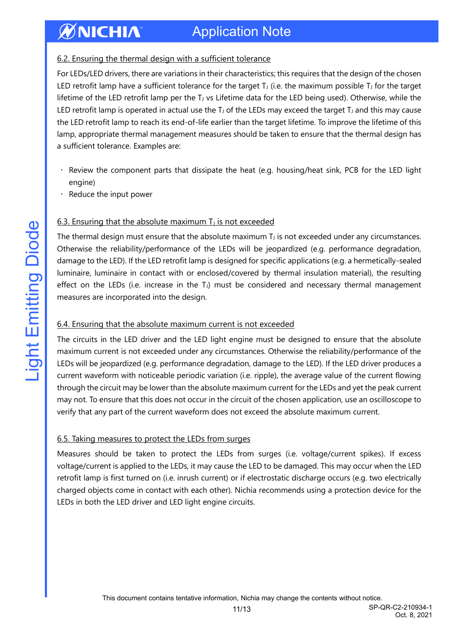# Application Note

#### 6.2. Ensuring the thermal design with a sufficient tolerance

For LEDs/LED drivers, there are variations in their characteristics; this requires that the design of the chosen LED retrofit lamp have a sufficient tolerance for the target T $J$  (i.e. the maximum possible T $J$  for the target lifetime of the LED retrofit lamp per the T<sub>J</sub> vs Lifetime data for the LED being used). Otherwise, while the LED retrofit lamp is operated in actual use the  $T_J$  of the LEDs may exceed the target  $T_J$  and this may cause the LED retrofit lamp to reach its end-of-life earlier than the target lifetime. To improve the lifetime of this lamp, appropriate thermal management measures should be taken to ensure that the thermal design has a sufficient tolerance. Examples are:

- Review the component parts that dissipate the heat (e.g. housing/heat sink, PCB for the LED light engine)
- Reduce the input power

**ØNICHIA** 

#### 6.3. Ensuring that the absolute maximum  $T<sub>J</sub>$  is not exceeded

The thermal design must ensure that the absolute maximum  $T<sub>J</sub>$  is not exceeded under any circumstances. Otherwise the reliability/performance of the LEDs will be jeopardized (e.g. performance degradation, damage to the LED). If the LED retrofit lamp is designed for specific applications (e.g. a hermetically-sealed luminaire, luminaire in contact with or enclosed/covered by thermal insulation material), the resulting effect on the LEDs (i.e. increase in the TJ) must be considered and necessary thermal management measures are incorporated into the design.

#### 6.4. Ensuring that the absolute maximum current is not exceeded

The circuits in the LED driver and the LED light engine must be designed to ensure that the absolute maximum current is not exceeded under any circumstances. Otherwise the reliability/performance of the LEDs will be jeopardized (e.g. performance degradation, damage to the LED). If the LED driver produces a current waveform with noticeable periodic variation (i.e. ripple), the average value of the current flowing through the circuit may be lower than the absolute maximum current for the LEDs and yet the peak current may not. To ensure that this does not occur in the circuit of the chosen application, use an oscilloscope to verify that any part of the current waveform does not exceed the absolute maximum current.

#### 6.5. Taking measures to protect the LEDs from surges

Measures should be taken to protect the LEDs from surges (i.e. voltage/current spikes). If excess voltage/current is applied to the LEDs, it may cause the LED to be damaged. This may occur when the LED retrofit lamp is first turned on (i.e. inrush current) or if electrostatic discharge occurs (e.g. two electrically charged objects come in contact with each other). Nichia recommends using a protection device for the LEDs in both the LED driver and LED light engine circuits.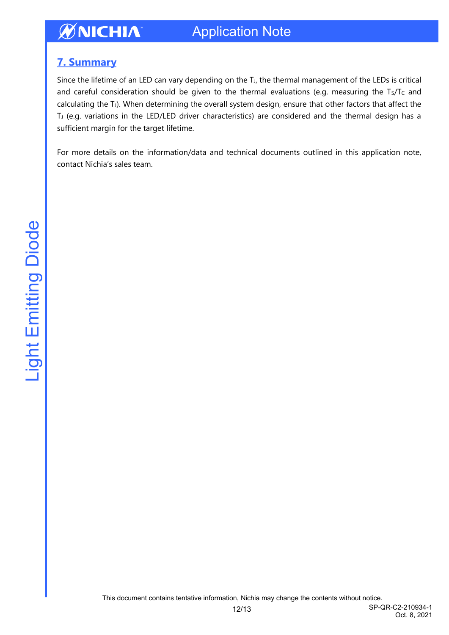### <span id="page-11-0"></span>**7. Summary**

Since the lifetime of an LED can vary depending on the T<sub>J</sub>, the thermal management of the LEDs is critical and careful consideration should be given to the thermal evaluations (e.g. measuring the Ts/Tc and calculating the TJ). When determining the overall system design, ensure that other factors that affect the T<sub>J</sub> (e.g. variations in the LED/LED driver characteristics) are considered and the thermal design has a sufficient margin for the target lifetime.

For more details on the information/data and technical documents outlined in this application note, contact Nichia's sales team.